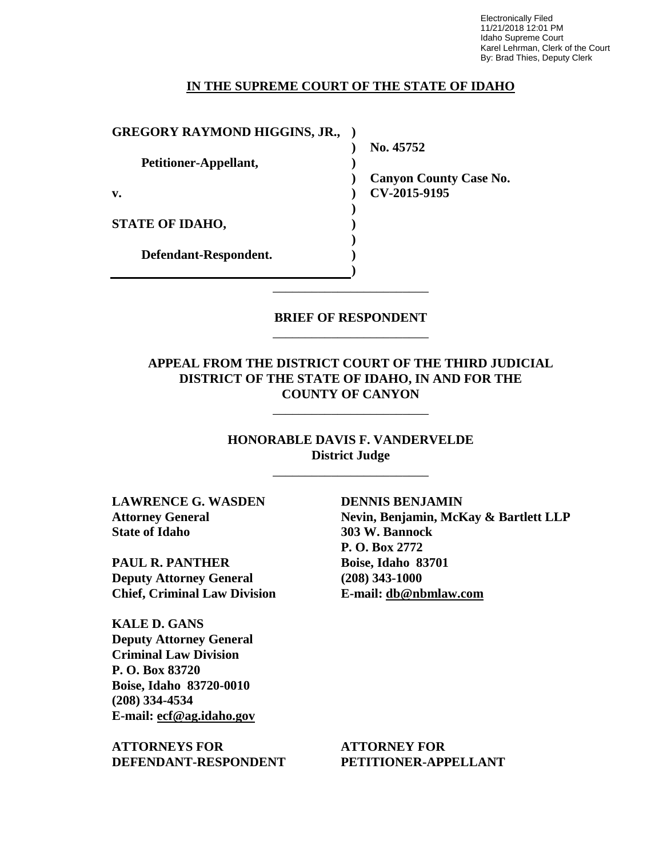Electronically Filed 11/21/2018 12:01 PM Idaho Supreme Court Karel Lehrman, Clerk of the Court By: Brad Thies, Deputy Clerk

## **IN THE SUPREME COURT OF THE STATE OF IDAHO**

| <b>GREGORY RAYMOND HIGGINS, JR.,</b> |                               |
|--------------------------------------|-------------------------------|
|                                      | No. 45752                     |
| Petitioner-Appellant,                |                               |
|                                      | <b>Canyon County Case No.</b> |
| v.                                   | CV-2015-9195                  |
|                                      |                               |
| <b>STATE OF IDAHO,</b>               |                               |
|                                      |                               |
| Defendant-Respondent.                |                               |
|                                      |                               |

## **BRIEF OF RESPONDENT** \_\_\_\_\_\_\_\_\_\_\_\_\_\_\_\_\_\_\_\_\_\_\_\_

\_\_\_\_\_\_\_\_\_\_\_\_\_\_\_\_\_\_\_\_\_\_\_\_

## **APPEAL FROM THE DISTRICT COURT OF THE THIRD JUDICIAL DISTRICT OF THE STATE OF IDAHO, IN AND FOR THE COUNTY OF CANYON**

\_\_\_\_\_\_\_\_\_\_\_\_\_\_\_\_\_\_\_\_\_\_\_\_

**HONORABLE DAVIS F. VANDERVELDE District Judge**

\_\_\_\_\_\_\_\_\_\_\_\_\_\_\_\_\_\_\_\_\_\_\_\_

**LAWRENCE G. WASDEN Attorney General State of Idaho** 

**PAUL R. PANTHER Deputy Attorney General Chief, Criminal Law Division**

**KALE D. GANS Deputy Attorney General Criminal Law Division P. O. Box 83720 Boise, Idaho 83720-0010 (208) 334-4534 E-mail: ecf@ag.idaho.gov** 

**ATTORNEYS FOR DEFENDANT-RESPONDENT**

**DENNIS BENJAMIN Nevin, Benjamin, McKay & Bartlett LLP 303 W. Bannock P. O. Box 2772 Boise, Idaho 83701 (208) 343-1000 E-mail: [db@nbmlaw.com](mailto:db@nbmlaw.com)**

**ATTORNEY FOR PETITIONER-APPELLANT**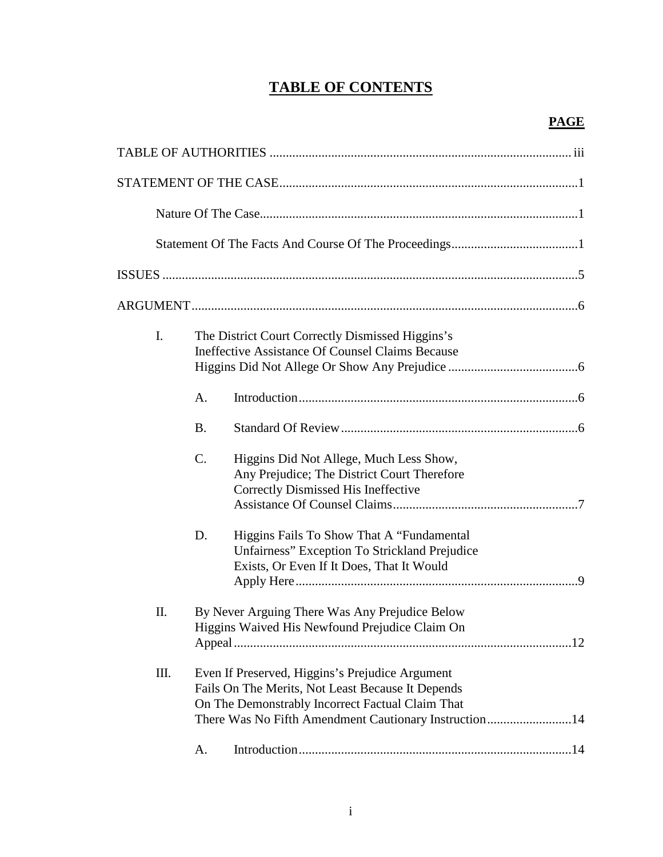# **TABLE OF CONTENTS**

| $\mathbf{I}$ . |           | The District Court Correctly Dismissed Higgins's<br>Ineffective Assistance Of Counsel Claims Because                                                                                                              |
|----------------|-----------|-------------------------------------------------------------------------------------------------------------------------------------------------------------------------------------------------------------------|
|                | A.        |                                                                                                                                                                                                                   |
|                | <b>B.</b> |                                                                                                                                                                                                                   |
|                | C.        | Higgins Did Not Allege, Much Less Show,<br>Any Prejudice; The District Court Therefore<br>Correctly Dismissed His Ineffective                                                                                     |
|                | D.        | Higgins Fails To Show That A "Fundamental<br>Unfairness" Exception To Strickland Prejudice<br>Exists, Or Even If It Does, That It Would                                                                           |
| Π.             |           | By Never Arguing There Was Any Prejudice Below<br>Higgins Waived His Newfound Prejudice Claim On                                                                                                                  |
| Ш.             |           | Even If Preserved, Higgins's Prejudice Argument<br>Fails On The Merits, Not Least Because It Depends<br>On The Demonstrably Incorrect Factual Claim That<br>There Was No Fifth Amendment Cautionary Instruction14 |
|                | A.        |                                                                                                                                                                                                                   |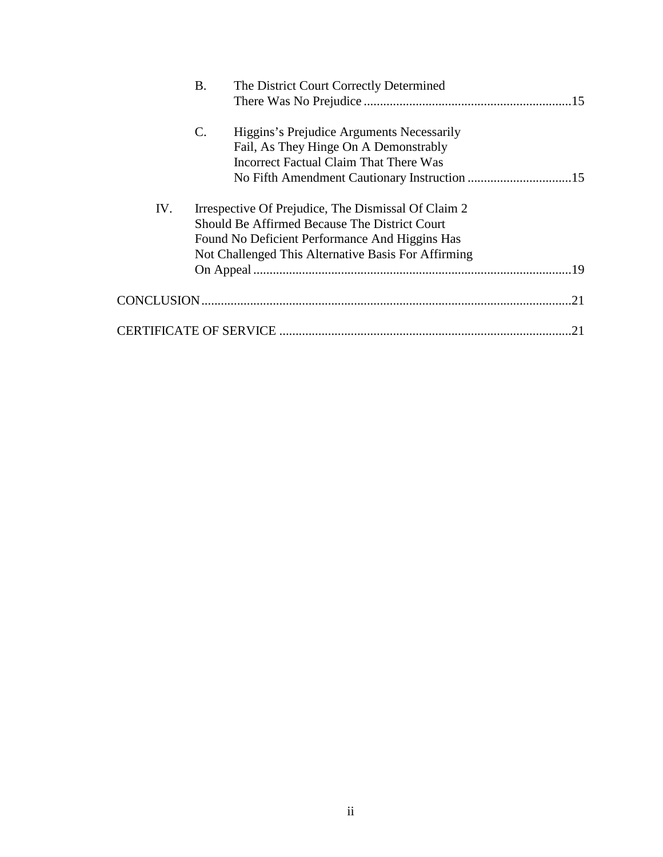|     | <b>B.</b>       | The District Court Correctly Determined                                            |
|-----|-----------------|------------------------------------------------------------------------------------|
|     |                 |                                                                                    |
|     | $\mathcal{C}$ . | Higgins's Prejudice Arguments Necessarily<br>Fail, As They Hinge On A Demonstrably |
|     |                 | Incorrect Factual Claim That There Was                                             |
|     |                 |                                                                                    |
| IV. |                 | Irrespective Of Prejudice, The Dismissal Of Claim 2                                |
|     |                 | Should Be Affirmed Because The District Court                                      |
|     |                 | Found No Deficient Performance And Higgins Has                                     |
|     |                 | Not Challenged This Alternative Basis For Affirming                                |
|     |                 |                                                                                    |
|     |                 | 21                                                                                 |
|     |                 |                                                                                    |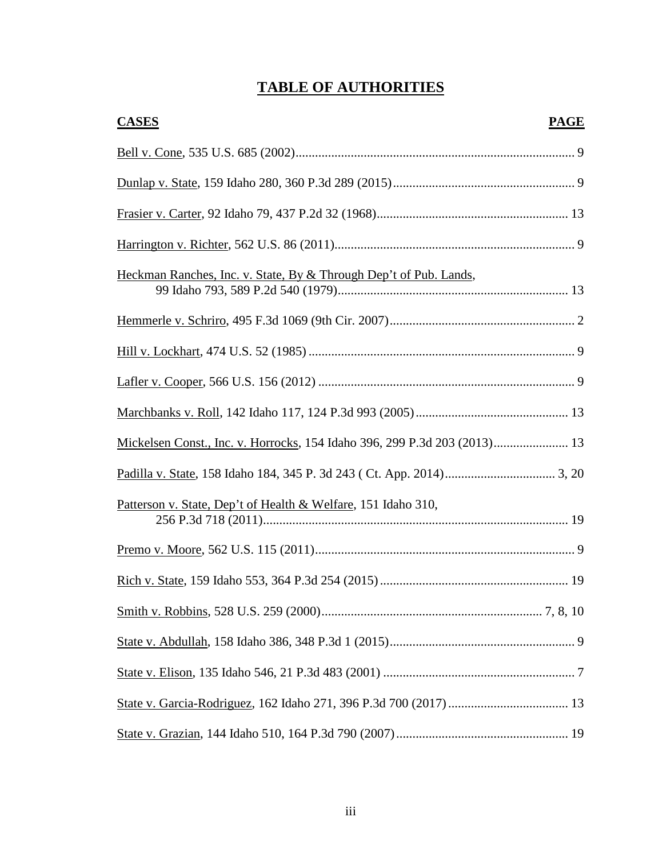# **TABLE OF AUTHORITIES**

| <b>CASES</b><br><b>PAGE</b>                                               |  |
|---------------------------------------------------------------------------|--|
|                                                                           |  |
|                                                                           |  |
|                                                                           |  |
|                                                                           |  |
| Heckman Ranches, Inc. v. State, By & Through Dep't of Pub. Lands,         |  |
|                                                                           |  |
|                                                                           |  |
|                                                                           |  |
|                                                                           |  |
| Mickelsen Const., Inc. v. Horrocks, 154 Idaho 396, 299 P.3d 203 (2013) 13 |  |
|                                                                           |  |
| Patterson v. State, Dep't of Health & Welfare, 151 Idaho 310,             |  |
|                                                                           |  |
|                                                                           |  |
|                                                                           |  |
|                                                                           |  |
|                                                                           |  |
|                                                                           |  |
|                                                                           |  |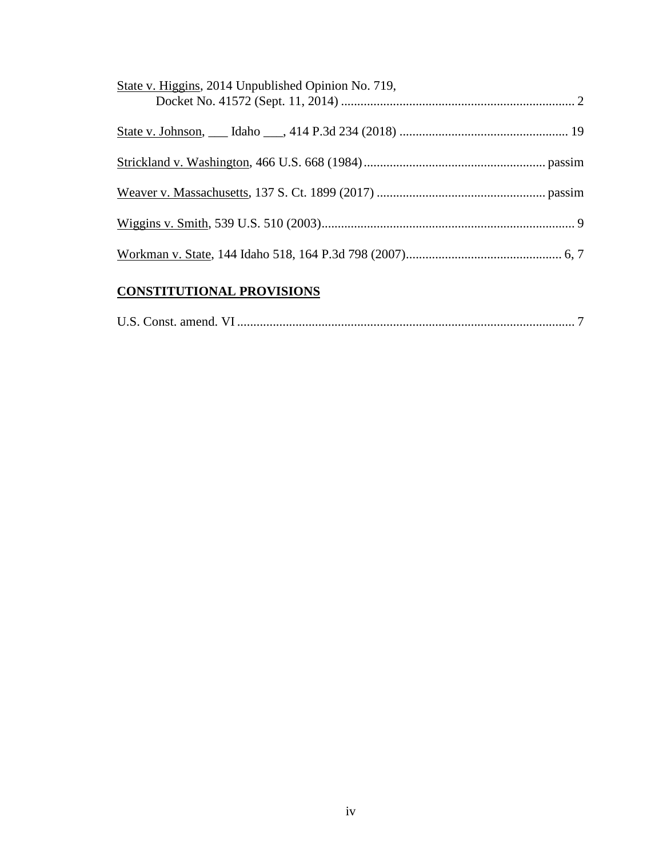| State v. Higgins, 2014 Unpublished Opinion No. 719, |  |
|-----------------------------------------------------|--|
|                                                     |  |
|                                                     |  |
|                                                     |  |
|                                                     |  |
|                                                     |  |

# **CONSTITUTIONAL PROVISIONS**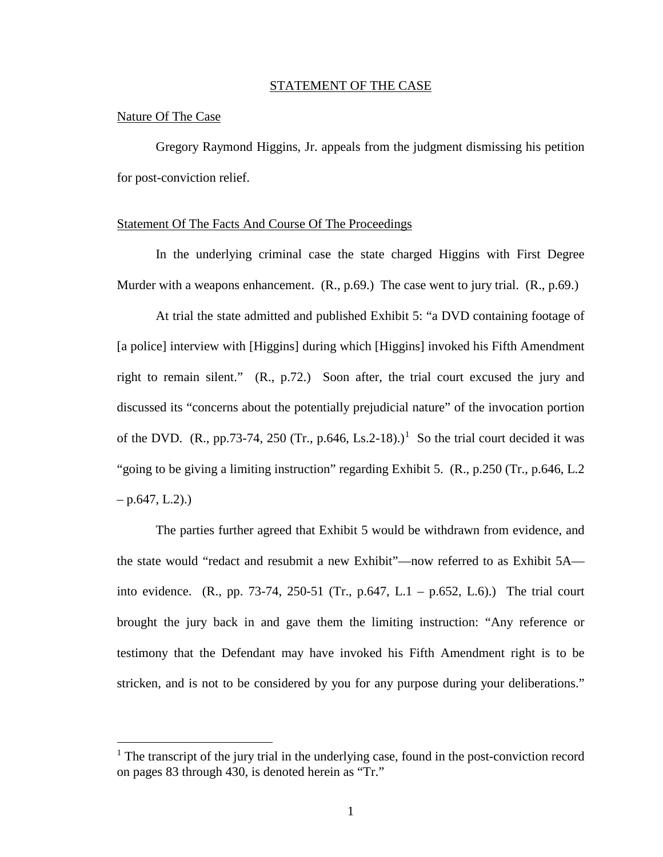#### STATEMENT OF THE CASE

#### Nature Of The Case

 $\overline{a}$ 

Gregory Raymond Higgins, Jr. appeals from the judgment dismissing his petition for post-conviction relief.

#### Statement Of The Facts And Course Of The Proceedings

In the underlying criminal case the state charged Higgins with First Degree Murder with a weapons enhancement. (R., p.69.) The case went to jury trial. (R., p.69.)

At trial the state admitted and published Exhibit 5: "a DVD containing footage of [a police] interview with [Higgins] during which [Higgins] invoked his Fifth Amendment right to remain silent." (R., p.72.) Soon after, the trial court excused the jury and discussed its "concerns about the potentially prejudicial nature" of the invocation portion of the DVD. (R., pp.73-74, 250 (Tr., p.646, Ls.2-[1](#page--1-0)8).)<sup>1</sup> So the trial court decided it was "going to be giving a limiting instruction" regarding Exhibit 5. (R., p.250 (Tr., p.646, L.2  $-$  p.647, L.2).)

The parties further agreed that Exhibit 5 would be withdrawn from evidence, and the state would "redact and resubmit a new Exhibit"—now referred to as Exhibit 5A into evidence. (R., pp. 73-74, 250-51 (Tr., p.647, L.1 – p.652, L.6).) The trial court brought the jury back in and gave them the limiting instruction: "Any reference or testimony that the Defendant may have invoked his Fifth Amendment right is to be stricken, and is not to be considered by you for any purpose during your deliberations."

<sup>&</sup>lt;sup>1</sup> The transcript of the jury trial in the underlying case, found in the post-conviction record on pages 83 through 430, is denoted herein as "Tr."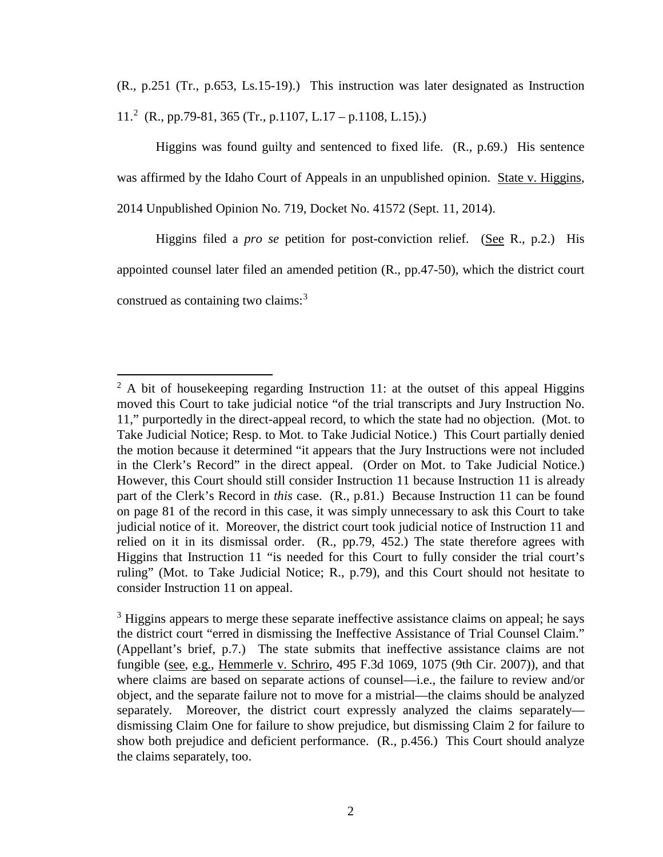(R., p.251 (Tr., p.653, Ls.15-19).) This instruction was later designated as Instruction 11.[2](#page--1-1) (R., pp.79-81, 365 (Tr., p.1107, L.17 – p.1108, L.15).)

Higgins was found guilty and sentenced to fixed life. (R., p.69.) His sentence was affirmed by the Idaho Court of Appeals in an unpublished opinion. State v. Higgins, 2014 Unpublished Opinion No. 719, Docket No. 41572 (Sept. 11, 2014).

Higgins filed a *pro se* petition for post-conviction relief. (See R., p.2.) His appointed counsel later filed an amended petition (R., pp.47-50), which the district court construed as containing two claims: $3$ 

 $\overline{a}$ 

 $2 \text{ A}$  bit of housekeeping regarding Instruction 11: at the outset of this appeal Higgins moved this Court to take judicial notice "of the trial transcripts and Jury Instruction No. 11," purportedly in the direct-appeal record, to which the state had no objection. (Mot. to Take Judicial Notice; Resp. to Mot. to Take Judicial Notice.) This Court partially denied the motion because it determined "it appears that the Jury Instructions were not included in the Clerk's Record" in the direct appeal. (Order on Mot. to Take Judicial Notice.) However, this Court should still consider Instruction 11 because Instruction 11 is already part of the Clerk's Record in *this* case. (R., p.81.) Because Instruction 11 can be found on page 81 of the record in this case, it was simply unnecessary to ask this Court to take judicial notice of it. Moreover, the district court took judicial notice of Instruction 11 and relied on it in its dismissal order. (R., pp.79, 452.) The state therefore agrees with Higgins that Instruction 11 "is needed for this Court to fully consider the trial court's ruling" (Mot. to Take Judicial Notice; R., p.79), and this Court should not hesitate to consider Instruction 11 on appeal.

<sup>&</sup>lt;sup>3</sup> Higgins appears to merge these separate ineffective assistance claims on appeal; he says the district court "erred in dismissing the Ineffective Assistance of Trial Counsel Claim." (Appellant's brief, p.7.) The state submits that ineffective assistance claims are not fungible (see, e.g., Hemmerle v. Schriro, 495 F.3d 1069, 1075 (9th Cir. 2007)), and that where claims are based on separate actions of counsel—i.e., the failure to review and/or object, and the separate failure not to move for a mistrial—the claims should be analyzed separately. Moreover, the district court expressly analyzed the claims separately dismissing Claim One for failure to show prejudice, but dismissing Claim 2 for failure to show both prejudice and deficient performance. (R., p.456.) This Court should analyze the claims separately, too.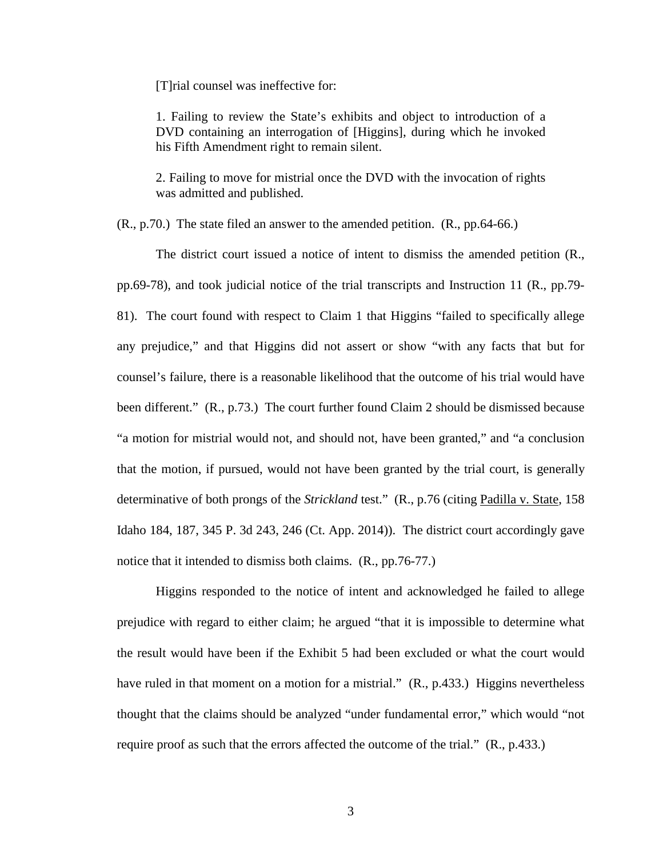[T]rial counsel was ineffective for:

1. Failing to review the State's exhibits and object to introduction of a DVD containing an interrogation of [Higgins], during which he invoked his Fifth Amendment right to remain silent.

2. Failing to move for mistrial once the DVD with the invocation of rights was admitted and published.

(R., p.70.) The state filed an answer to the amended petition. (R., pp.64-66.)

The district court issued a notice of intent to dismiss the amended petition (R., pp.69-78), and took judicial notice of the trial transcripts and Instruction 11 (R., pp.79- 81). The court found with respect to Claim 1 that Higgins "failed to specifically allege any prejudice," and that Higgins did not assert or show "with any facts that but for counsel's failure, there is a reasonable likelihood that the outcome of his trial would have been different." (R., p.73.) The court further found Claim 2 should be dismissed because "a motion for mistrial would not, and should not, have been granted," and "a conclusion that the motion, if pursued, would not have been granted by the trial court, is generally determinative of both prongs of the *Strickland* test." (R., p.76 (citing Padilla v. State, 158 Idaho 184, 187, 345 P. 3d 243, 246 (Ct. App. 2014)). The district court accordingly gave notice that it intended to dismiss both claims. (R., pp.76-77.)

Higgins responded to the notice of intent and acknowledged he failed to allege prejudice with regard to either claim; he argued "that it is impossible to determine what the result would have been if the Exhibit 5 had been excluded or what the court would have ruled in that moment on a motion for a mistrial." (R., p.433.) Higgins nevertheless thought that the claims should be analyzed "under fundamental error," which would "not require proof as such that the errors affected the outcome of the trial." (R., p.433.)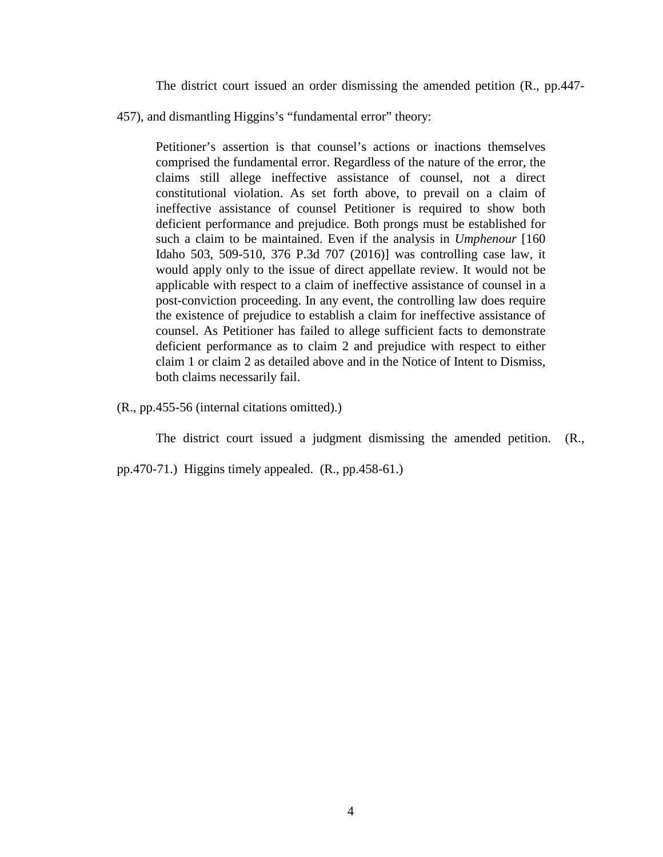The district court issued an order dismissing the amended petition (R., pp.447-

457), and dismantling Higgins's "fundamental error" theory:

Petitioner's assertion is that counsel's actions or inactions themselves comprised the fundamental error. Regardless of the nature of the error, the claims still allege ineffective assistance of counsel, not a direct constitutional violation. As set forth above, to prevail on a claim of ineffective assistance of counsel Petitioner is required to show both deficient performance and prejudice. Both prongs must be established for such a claim to be maintained. Even if the analysis in *Umphenour* [160 Idaho 503, 509-510, 376 P.3d 707 (2016)] was controlling case law, it would apply only to the issue of direct appellate review. It would not be applicable with respect to a claim of ineffective assistance of counsel in a post-conviction proceeding. In any event, the controlling law does require the existence of prejudice to establish a claim for ineffective assistance of counsel. As Petitioner has failed to allege sufficient facts to demonstrate deficient performance as to claim 2 and prejudice with respect to either claim 1 or claim 2 as detailed above and in the Notice of Intent to Dismiss, both claims necessarily fail.

(R., pp.455-56 (internal citations omitted).)

The district court issued a judgment dismissing the amended petition. (R.,

pp.470-71.) Higgins timely appealed. (R., pp.458-61.)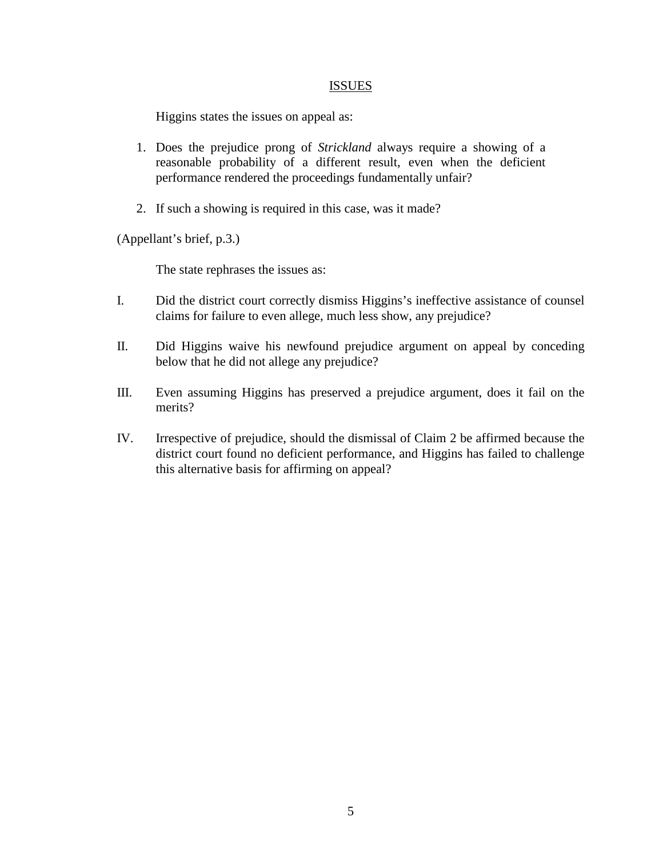### **ISSUES**

Higgins states the issues on appeal as:

- 1. Does the prejudice prong of *Strickland* always require a showing of a reasonable probability of a different result, even when the deficient performance rendered the proceedings fundamentally unfair?
- 2. If such a showing is required in this case, was it made?

(Appellant's brief, p.3.)

The state rephrases the issues as:

- I. Did the district court correctly dismiss Higgins's ineffective assistance of counsel claims for failure to even allege, much less show, any prejudice?
- II. Did Higgins waive his newfound prejudice argument on appeal by conceding below that he did not allege any prejudice?
- III. Even assuming Higgins has preserved a prejudice argument, does it fail on the merits?
- IV. Irrespective of prejudice, should the dismissal of Claim 2 be affirmed because the district court found no deficient performance, and Higgins has failed to challenge this alternative basis for affirming on appeal?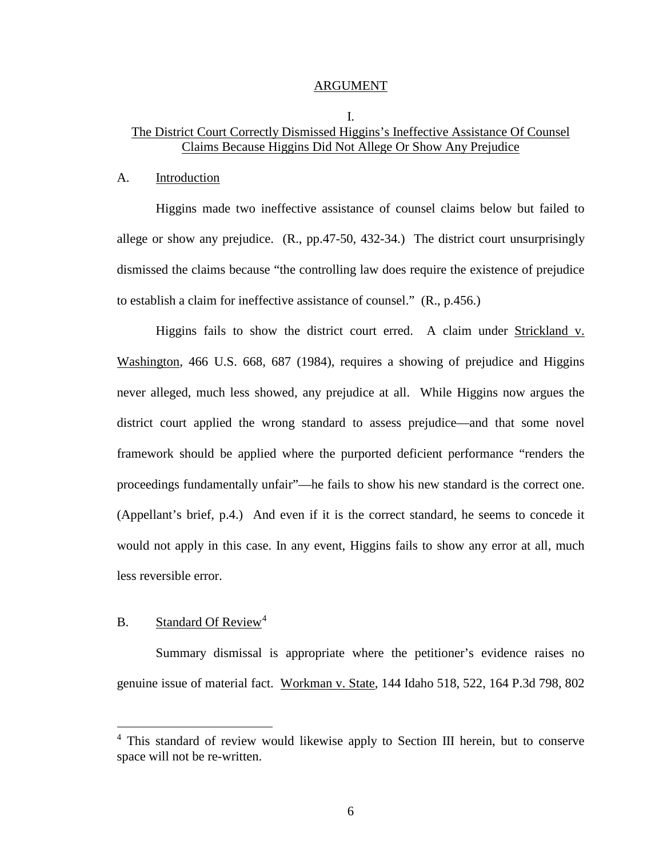#### ARGUMENT

## I. The District Court Correctly Dismissed Higgins's Ineffective Assistance Of Counsel Claims Because Higgins Did Not Allege Or Show Any Prejudice

#### A. Introduction

Higgins made two ineffective assistance of counsel claims below but failed to allege or show any prejudice. (R., pp.47-50, 432-34.) The district court unsurprisingly dismissed the claims because "the controlling law does require the existence of prejudice to establish a claim for ineffective assistance of counsel." (R., p.456.)

Higgins fails to show the district court erred. A claim under Strickland v. Washington, 466 U.S. 668, 687 (1984), requires a showing of prejudice and Higgins never alleged, much less showed, any prejudice at all. While Higgins now argues the district court applied the wrong standard to assess prejudice—and that some novel framework should be applied where the purported deficient performance "renders the proceedings fundamentally unfair"—he fails to show his new standard is the correct one. (Appellant's brief, p.4.) And even if it is the correct standard, he seems to concede it would not apply in this case. In any event, Higgins fails to show any error at all, much less reversible error.

## B. Standard Of Review<sup>[4](#page--1-3)</sup>

 $\overline{a}$ 

Summary dismissal is appropriate where the petitioner's evidence raises no genuine issue of material fact. Workman v. State, 144 Idaho 518, 522, 164 P.3d 798, 802

<sup>4</sup> This standard of review would likewise apply to Section III herein, but to conserve space will not be re-written.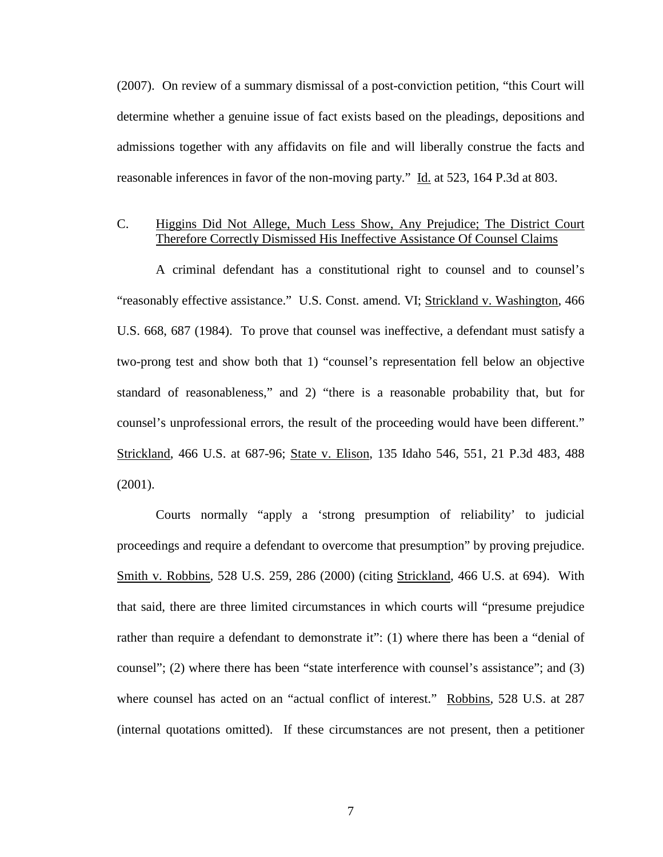(2007). On review of a summary dismissal of a post-conviction petition, "this Court will determine whether a genuine issue of fact exists based on the pleadings, depositions and admissions together with any affidavits on file and will liberally construe the facts and reasonable inferences in favor of the non-moving party." Id. at 523, 164 P.3d at 803.

## C. Higgins Did Not Allege, Much Less Show, Any Prejudice; The District Court Therefore Correctly Dismissed His Ineffective Assistance Of Counsel Claims

A criminal defendant has a constitutional right to counsel and to counsel's "reasonably effective assistance." U.S. Const. amend. VI; Strickland v. Washington, 466 U.S. 668, 687 (1984). To prove that counsel was ineffective, a defendant must satisfy a two-prong test and show both that 1) "counsel's representation fell below an objective standard of reasonableness," and 2) "there is a reasonable probability that, but for counsel's unprofessional errors, the result of the proceeding would have been different." Strickland, 466 U.S. at 687-96; State v. Elison, 135 Idaho 546, 551, 21 P.3d 483, 488 (2001).

Courts normally "apply a 'strong presumption of reliability' to judicial proceedings and require a defendant to overcome that presumption" by proving prejudice. Smith v. Robbins, 528 U.S. 259, 286 (2000) (citing Strickland, 466 U.S. at 694). With that said, there are three limited circumstances in which courts will "presume prejudice rather than require a defendant to demonstrate it": (1) where there has been a "denial of counsel"; (2) where there has been "state interference with counsel's assistance"; and (3) where counsel has acted on an "actual conflict of interest." Robbins, 528 U.S. at 287 (internal quotations omitted). If these circumstances are not present, then a petitioner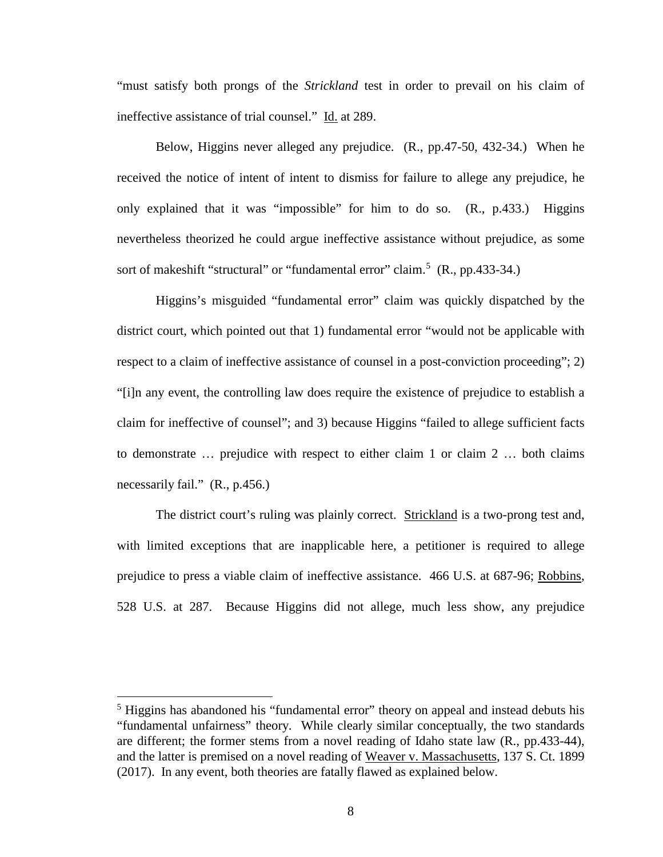"must satisfy both prongs of the *Strickland* test in order to prevail on his claim of ineffective assistance of trial counsel." Id. at 289.

Below, Higgins never alleged any prejudice. (R., pp.47-50, 432-34.) When he received the notice of intent of intent to dismiss for failure to allege any prejudice, he only explained that it was "impossible" for him to do so. (R., p.433.) Higgins nevertheless theorized he could argue ineffective assistance without prejudice, as some sort of makeshift "structural" or "fundamental error" claim.<sup>[5](#page--1-4)</sup> (R., pp.433-34.)

Higgins's misguided "fundamental error" claim was quickly dispatched by the district court, which pointed out that 1) fundamental error "would not be applicable with respect to a claim of ineffective assistance of counsel in a post-conviction proceeding"; 2) "[i]n any event, the controlling law does require the existence of prejudice to establish a claim for ineffective of counsel"; and 3) because Higgins "failed to allege sufficient facts to demonstrate … prejudice with respect to either claim 1 or claim 2 … both claims necessarily fail." (R., p.456.)

The district court's ruling was plainly correct. Strickland is a two-prong test and, with limited exceptions that are inapplicable here, a petitioner is required to allege prejudice to press a viable claim of ineffective assistance. 466 U.S. at 687-96; Robbins, 528 U.S. at 287. Because Higgins did not allege, much less show, any prejudice

 $\overline{a}$ 

<sup>&</sup>lt;sup>5</sup> Higgins has abandoned his "fundamental error" theory on appeal and instead debuts his "fundamental unfairness" theory. While clearly similar conceptually, the two standards are different; the former stems from a novel reading of Idaho state law (R., pp.433-44), and the latter is premised on a novel reading of Weaver v. Massachusetts, 137 S. Ct. 1899 (2017). In any event, both theories are fatally flawed as explained below.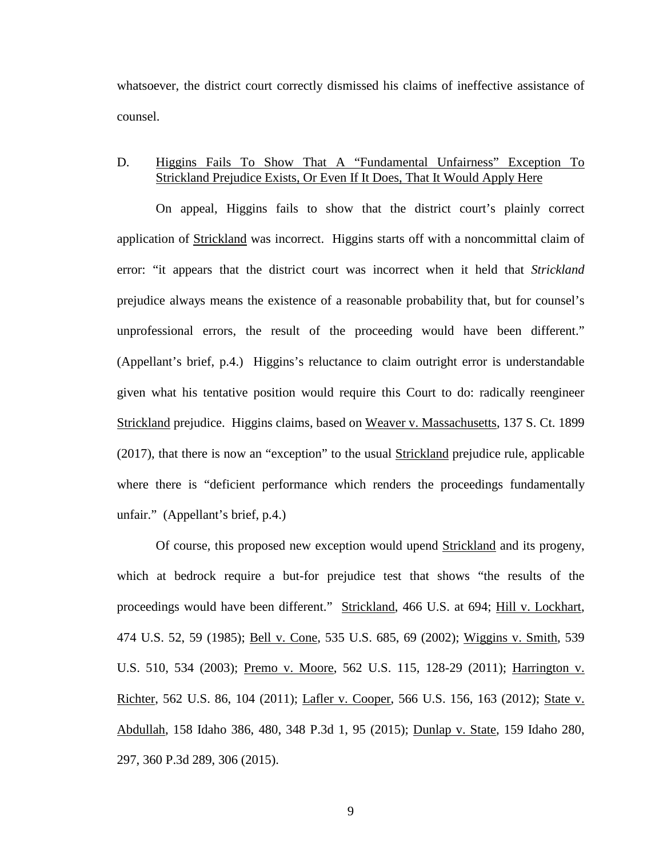whatsoever, the district court correctly dismissed his claims of ineffective assistance of counsel.

## D. Higgins Fails To Show That A "Fundamental Unfairness" Exception To Strickland Prejudice Exists, Or Even If It Does, That It Would Apply Here

On appeal, Higgins fails to show that the district court's plainly correct application of Strickland was incorrect. Higgins starts off with a noncommittal claim of error: "it appears that the district court was incorrect when it held that *Strickland* prejudice always means the existence of a reasonable probability that, but for counsel's unprofessional errors, the result of the proceeding would have been different." (Appellant's brief, p.4.) Higgins's reluctance to claim outright error is understandable given what his tentative position would require this Court to do: radically reengineer Strickland prejudice. Higgins claims, based on Weaver v. Massachusetts, 137 S. Ct. 1899 (2017), that there is now an "exception" to the usual Strickland prejudice rule, applicable where there is "deficient performance which renders the proceedings fundamentally unfair." (Appellant's brief, p.4.)

Of course, this proposed new exception would upend Strickland and its progeny, which at bedrock require a but-for prejudice test that shows "the results of the proceedings would have been different." Strickland, 466 U.S. at 694; Hill v. Lockhart, 474 U.S. 52, 59 (1985); Bell v. Cone, 535 U.S. 685, 69 (2002); Wiggins v. Smith, 539 U.S. 510, 534 (2003); Premo v. Moore, 562 U.S. 115, 128-29 (2011); Harrington v. Richter, 562 U.S. 86, 104 (2011); Lafler v. Cooper, 566 U.S. 156, 163 (2012); State v. Abdullah, 158 Idaho 386, 480, 348 P.3d 1, 95 (2015); Dunlap v. State, 159 Idaho 280, 297, 360 P.3d 289, 306 (2015).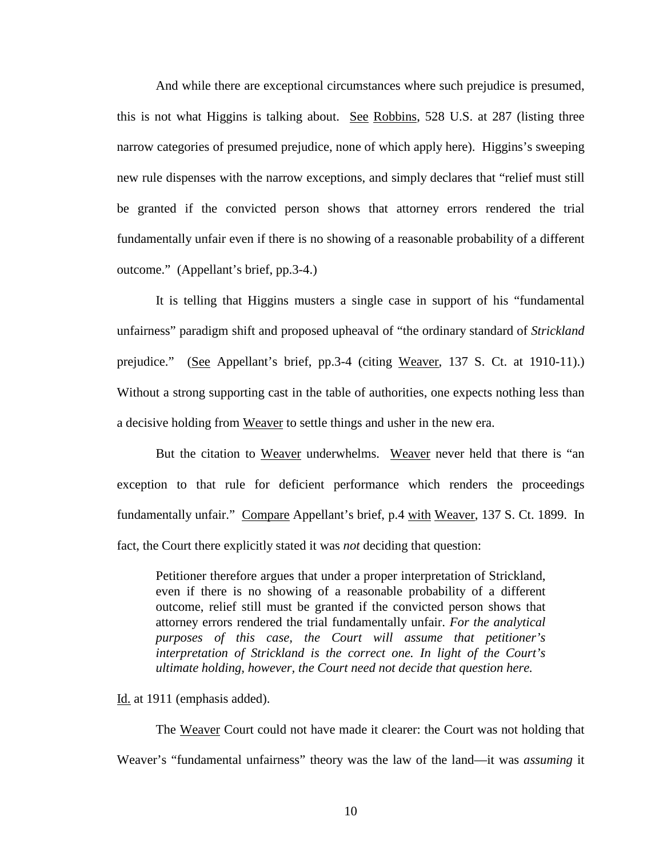And while there are exceptional circumstances where such prejudice is presumed, this is not what Higgins is talking about. See Robbins, 528 U.S. at 287 (listing three narrow categories of presumed prejudice, none of which apply here). Higgins's sweeping new rule dispenses with the narrow exceptions, and simply declares that "relief must still be granted if the convicted person shows that attorney errors rendered the trial fundamentally unfair even if there is no showing of a reasonable probability of a different outcome." (Appellant's brief, pp.3-4.)

It is telling that Higgins musters a single case in support of his "fundamental unfairness" paradigm shift and proposed upheaval of "the ordinary standard of *Strickland* prejudice." (See Appellant's brief, pp.3-4 (citing Weaver, 137 S. Ct. at 1910-11).) Without a strong supporting cast in the table of authorities, one expects nothing less than a decisive holding from Weaver to settle things and usher in the new era.

But the citation to Weaver underwhelms. Weaver never held that there is "an exception to that rule for deficient performance which renders the proceedings fundamentally unfair." Compare Appellant's brief, p.4 with Weaver, 137 S. Ct. 1899. In fact, the Court there explicitly stated it was *not* deciding that question:

Petitioner therefore argues that under a proper interpretation of Strickland, even if there is no showing of a reasonable probability of a different outcome, relief still must be granted if the convicted person shows that attorney errors rendered the trial fundamentally unfair. *For the analytical purposes of this case, the Court will assume that petitioner's interpretation of Strickland is the correct one. In light of the Court's ultimate holding, however, the Court need not decide that question here.*

### Id. at 1911 (emphasis added).

The Weaver Court could not have made it clearer: the Court was not holding that Weaver's "fundamental unfairness" theory was the law of the land—it was *assuming* it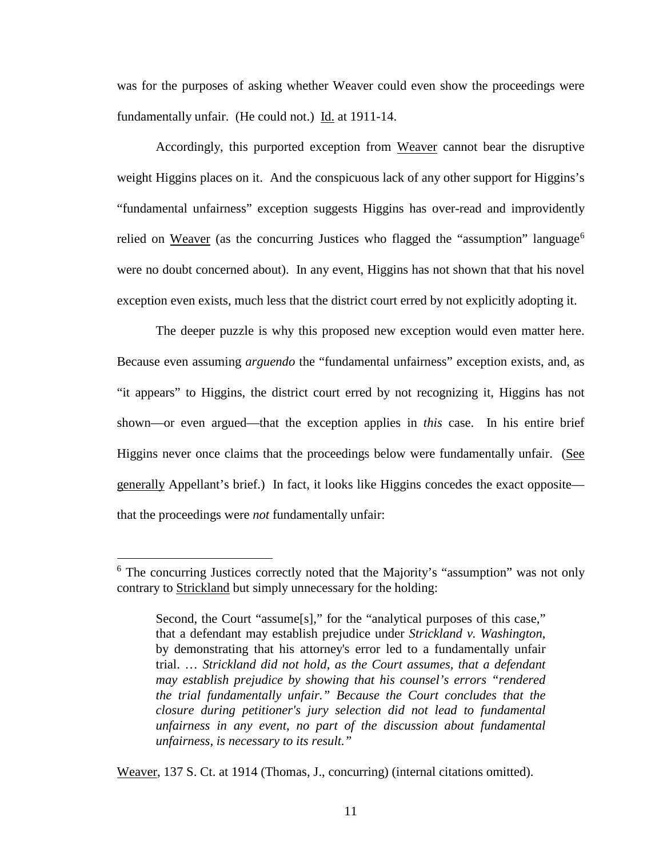was for the purposes of asking whether Weaver could even show the proceedings were fundamentally unfair. (He could not.) Id. at 1911-14.

Accordingly, this purported exception from Weaver cannot bear the disruptive weight Higgins places on it. And the conspicuous lack of any other support for Higgins's "fundamental unfairness" exception suggests Higgins has over-read and improvidently relied on Weaver (as the concurring Justices who flagged the "assumption" language<sup>[6](#page--1-5)</sup> were no doubt concerned about). In any event, Higgins has not shown that that his novel exception even exists, much less that the district court erred by not explicitly adopting it.

The deeper puzzle is why this proposed new exception would even matter here. Because even assuming *arguendo* the "fundamental unfairness" exception exists, and, as "it appears" to Higgins, the district court erred by not recognizing it, Higgins has not shown—or even argued—that the exception applies in *this* case. In his entire brief Higgins never once claims that the proceedings below were fundamentally unfair. (See generally Appellant's brief.) In fact, it looks like Higgins concedes the exact opposite that the proceedings were *not* fundamentally unfair:

 $\overline{a}$ 

Weaver, 137 S. Ct. at 1914 (Thomas, J., concurring) (internal citations omitted).

<sup>&</sup>lt;sup>6</sup> The concurring Justices correctly noted that the Majority's "assumption" was not only contrary to Strickland but simply unnecessary for the holding:

Second, the Court "assume[s]," for the "analytical purposes of this case," that a defendant may establish prejudice under *Strickland v. Washington*, by demonstrating that his attorney's error led to a fundamentally unfair trial. … *Strickland did not hold, as the Court assumes, that a defendant may establish prejudice by showing that his counsel's errors "rendered the trial fundamentally unfair." Because the Court concludes that the closure during petitioner's jury selection did not lead to fundamental unfairness in any event, no part of the discussion about fundamental unfairness, is necessary to its result."*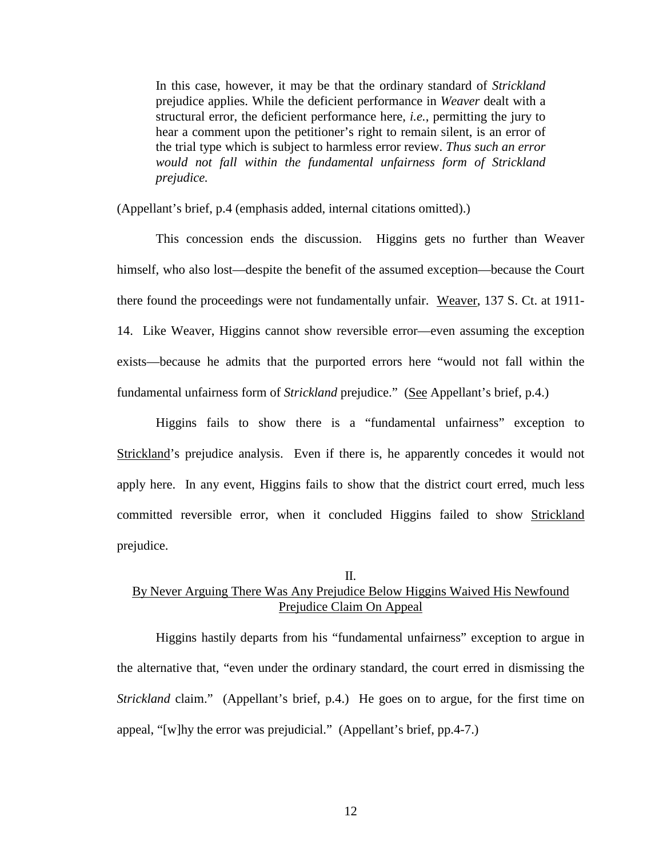In this case, however, it may be that the ordinary standard of *Strickland* prejudice applies. While the deficient performance in *Weaver* dealt with a structural error, the deficient performance here, *i.e.*, permitting the jury to hear a comment upon the petitioner's right to remain silent, is an error of the trial type which is subject to harmless error review. *Thus such an error would not fall within the fundamental unfairness form of Strickland prejudice.*

(Appellant's brief, p.4 (emphasis added, internal citations omitted).)

This concession ends the discussion. Higgins gets no further than Weaver himself, who also lost—despite the benefit of the assumed exception—because the Court there found the proceedings were not fundamentally unfair. Weaver, 137 S. Ct. at 1911- 14. Like Weaver, Higgins cannot show reversible error—even assuming the exception exists—because he admits that the purported errors here "would not fall within the fundamental unfairness form of *Strickland* prejudice." (See Appellant's brief, p.4.)

Higgins fails to show there is a "fundamental unfairness" exception to Strickland's prejudice analysis. Even if there is, he apparently concedes it would not apply here. In any event, Higgins fails to show that the district court erred, much less committed reversible error, when it concluded Higgins failed to show Strickland prejudice.

#### II.

# By Never Arguing There Was Any Prejudice Below Higgins Waived His Newfound Prejudice Claim On Appeal

Higgins hastily departs from his "fundamental unfairness" exception to argue in the alternative that, "even under the ordinary standard, the court erred in dismissing the *Strickland* claim." (Appellant's brief, p.4.) He goes on to argue, for the first time on appeal, "[w]hy the error was prejudicial." (Appellant's brief, pp.4-7.)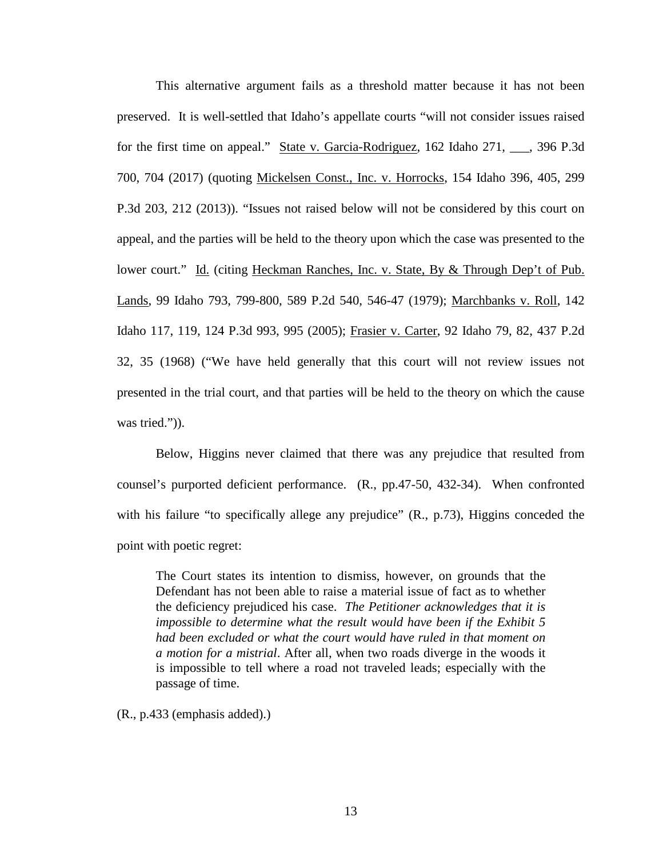This alternative argument fails as a threshold matter because it has not been preserved. It is well-settled that Idaho's appellate courts "will not consider issues raised for the first time on appeal." State v. Garcia-Rodriguez, 162 Idaho 271, \_\_\_, 396 P.3d 700, 704 (2017) (quoting Mickelsen Const., Inc. v. Horrocks, 154 Idaho 396, 405, 299 P.3d 203, 212 (2013)). "Issues not raised below will not be considered by this court on appeal, and the parties will be held to the theory upon which the case was presented to the lower court." Id. (citing Heckman Ranches, Inc. v. State, By & Through Dep't of Pub. Lands, 99 Idaho 793, 799-800, 589 P.2d 540, 546-47 (1979); Marchbanks v. Roll, 142 Idaho 117, 119, 124 P.3d 993, 995 (2005); Frasier v. Carter, 92 Idaho 79, 82, 437 P.2d 32, 35 (1968) ("We have held generally that this court will not review issues not presented in the trial court, and that parties will be held to the theory on which the cause was tried.")).

Below, Higgins never claimed that there was any prejudice that resulted from counsel's purported deficient performance. (R., pp.47-50, 432-34). When confronted with his failure "to specifically allege any prejudice" (R., p.73), Higgins conceded the point with poetic regret:

The Court states its intention to dismiss, however, on grounds that the Defendant has not been able to raise a material issue of fact as to whether the deficiency prejudiced his case. *The Petitioner acknowledges that it is impossible to determine what the result would have been if the Exhibit 5 had been excluded or what the court would have ruled in that moment on a motion for a mistrial*. After all, when two roads diverge in the woods it is impossible to tell where a road not traveled leads; especially with the passage of time.

(R., p.433 (emphasis added).)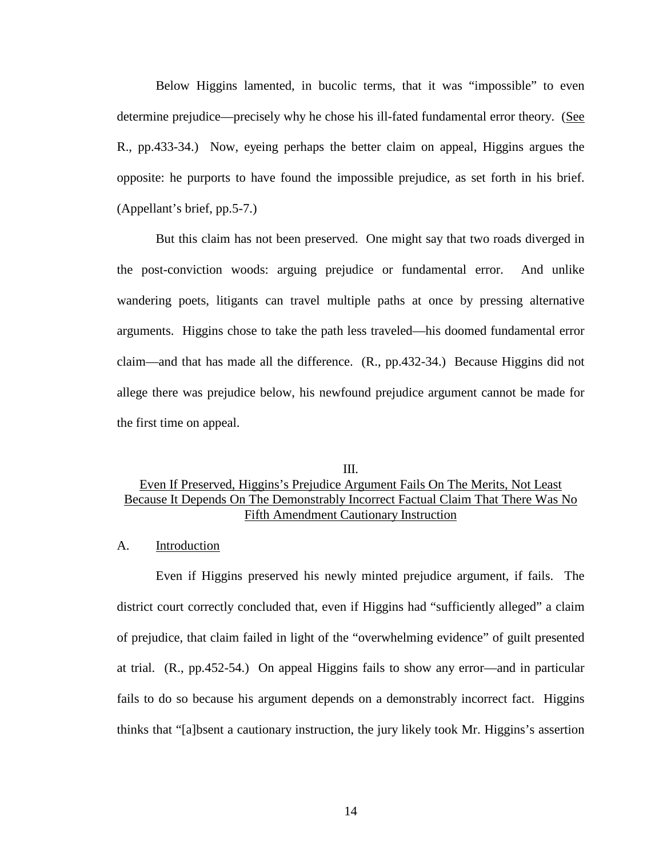Below Higgins lamented, in bucolic terms, that it was "impossible" to even determine prejudice—precisely why he chose his ill-fated fundamental error theory. (See R., pp.433-34.) Now, eyeing perhaps the better claim on appeal, Higgins argues the opposite: he purports to have found the impossible prejudice, as set forth in his brief. (Appellant's brief, pp.5-7.)

But this claim has not been preserved. One might say that two roads diverged in the post-conviction woods: arguing prejudice or fundamental error. And unlike wandering poets, litigants can travel multiple paths at once by pressing alternative arguments. Higgins chose to take the path less traveled—his doomed fundamental error claim—and that has made all the difference. (R., pp.432-34.) Because Higgins did not allege there was prejudice below, his newfound prejudice argument cannot be made for the first time on appeal.

# III. Even If Preserved, Higgins's Prejudice Argument Fails On The Merits, Not Least Because It Depends On The Demonstrably Incorrect Factual Claim That There Was No Fifth Amendment Cautionary Instruction

#### A. Introduction

Even if Higgins preserved his newly minted prejudice argument, if fails. The district court correctly concluded that, even if Higgins had "sufficiently alleged" a claim of prejudice, that claim failed in light of the "overwhelming evidence" of guilt presented at trial. (R., pp.452-54.) On appeal Higgins fails to show any error—and in particular fails to do so because his argument depends on a demonstrably incorrect fact. Higgins thinks that "[a]bsent a cautionary instruction, the jury likely took Mr. Higgins's assertion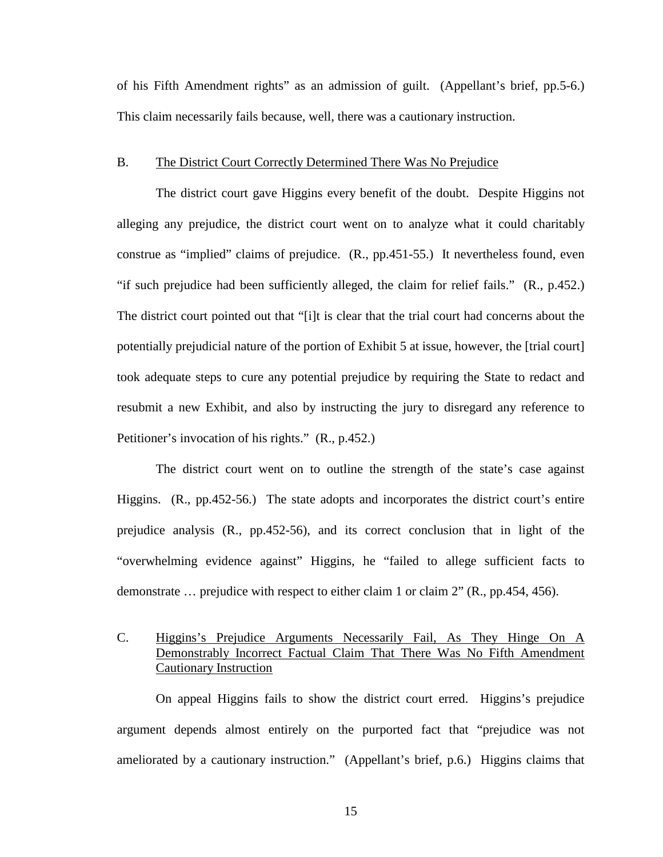of his Fifth Amendment rights" as an admission of guilt. (Appellant's brief, pp.5-6.) This claim necessarily fails because, well, there was a cautionary instruction.

#### B. The District Court Correctly Determined There Was No Prejudice

The district court gave Higgins every benefit of the doubt. Despite Higgins not alleging any prejudice, the district court went on to analyze what it could charitably construe as "implied" claims of prejudice. (R., pp.451-55.) It nevertheless found, even "if such prejudice had been sufficiently alleged, the claim for relief fails." (R., p.452.) The district court pointed out that "[i]t is clear that the trial court had concerns about the potentially prejudicial nature of the portion of Exhibit 5 at issue, however, the [trial court] took adequate steps to cure any potential prejudice by requiring the State to redact and resubmit a new Exhibit, and also by instructing the jury to disregard any reference to Petitioner's invocation of his rights." (R., p.452.)

The district court went on to outline the strength of the state's case against Higgins. (R., pp.452-56.) The state adopts and incorporates the district court's entire prejudice analysis (R., pp.452-56), and its correct conclusion that in light of the "overwhelming evidence against" Higgins, he "failed to allege sufficient facts to demonstrate … prejudice with respect to either claim 1 or claim 2" (R., pp.454, 456).

## C. Higgins's Prejudice Arguments Necessarily Fail, As They Hinge On A Demonstrably Incorrect Factual Claim That There Was No Fifth Amendment Cautionary Instruction

On appeal Higgins fails to show the district court erred. Higgins's prejudice argument depends almost entirely on the purported fact that "prejudice was not ameliorated by a cautionary instruction." (Appellant's brief, p.6.) Higgins claims that

15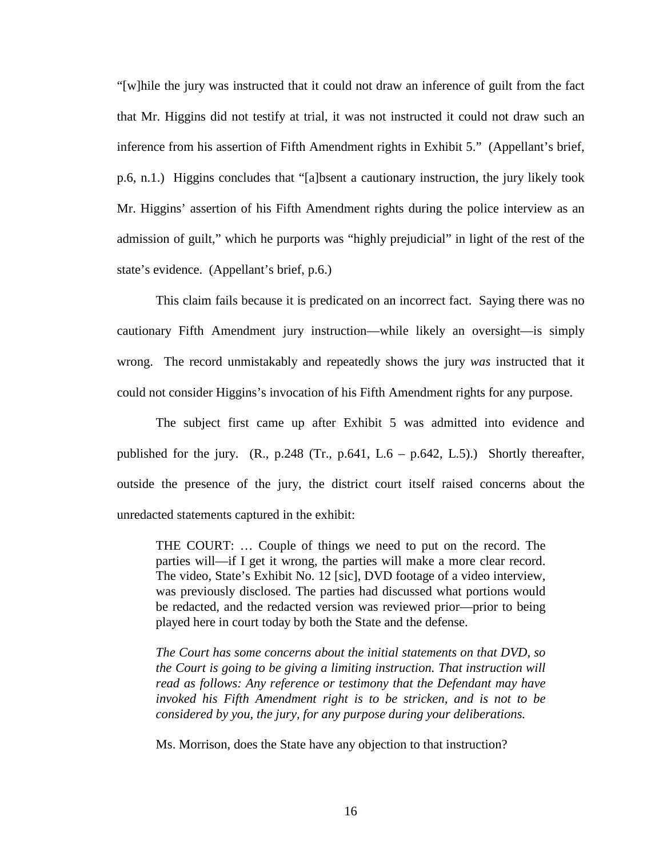"[w]hile the jury was instructed that it could not draw an inference of guilt from the fact that Mr. Higgins did not testify at trial, it was not instructed it could not draw such an inference from his assertion of Fifth Amendment rights in Exhibit 5." (Appellant's brief, p.6, n.1.) Higgins concludes that "[a]bsent a cautionary instruction, the jury likely took Mr. Higgins' assertion of his Fifth Amendment rights during the police interview as an admission of guilt," which he purports was "highly prejudicial" in light of the rest of the state's evidence. (Appellant's brief, p.6.)

This claim fails because it is predicated on an incorrect fact. Saying there was no cautionary Fifth Amendment jury instruction—while likely an oversight—is simply wrong. The record unmistakably and repeatedly shows the jury *was* instructed that it could not consider Higgins's invocation of his Fifth Amendment rights for any purpose.

The subject first came up after Exhibit 5 was admitted into evidence and published for the jury.  $(R., p.248$  (Tr.,  $p.641, L.6 - p.642, L.5)$ .) Shortly thereafter, outside the presence of the jury, the district court itself raised concerns about the unredacted statements captured in the exhibit:

THE COURT: … Couple of things we need to put on the record. The parties will—if I get it wrong, the parties will make a more clear record. The video, State's Exhibit No. 12 [sic], DVD footage of a video interview, was previously disclosed. The parties had discussed what portions would be redacted, and the redacted version was reviewed prior—prior to being played here in court today by both the State and the defense.

*The Court has some concerns about the initial statements on that DVD, so the Court is going to be giving a limiting instruction. That instruction will read as follows: Any reference or testimony that the Defendant may have invoked his Fifth Amendment right is to be stricken, and is not to be considered by you, the jury, for any purpose during your deliberations.* 

Ms. Morrison, does the State have any objection to that instruction?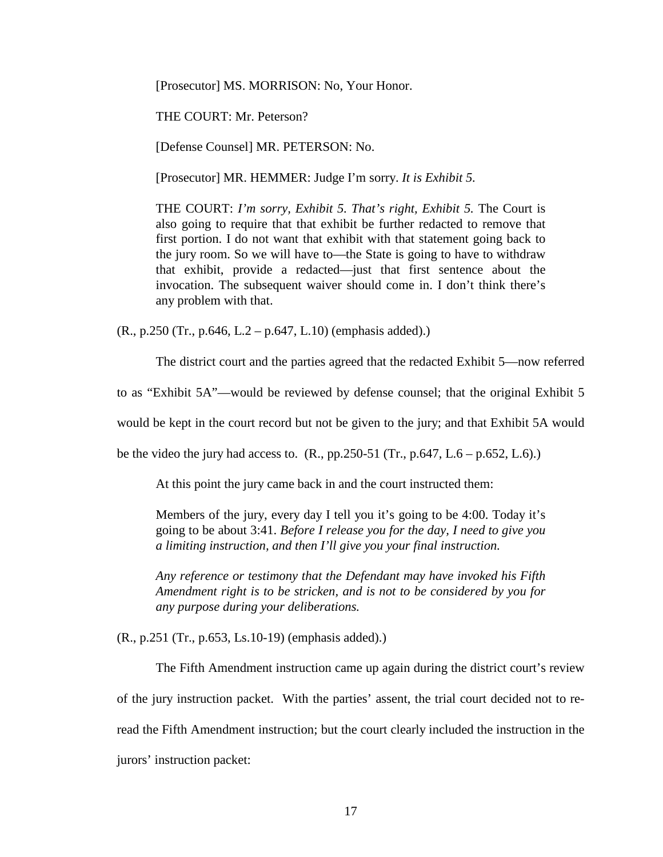[Prosecutor] MS. MORRISON: No, Your Honor.

THE COURT: Mr. Peterson?

[Defense Counsel] MR. PETERSON: No.

[Prosecutor] MR. HEMMER: Judge I'm sorry. *It is Exhibit 5.*

THE COURT: *I'm sorry, Exhibit 5. That's right, Exhibit 5.* The Court is also going to require that that exhibit be further redacted to remove that first portion. I do not want that exhibit with that statement going back to the jury room. So we will have to—the State is going to have to withdraw that exhibit, provide a redacted—just that first sentence about the invocation. The subsequent waiver should come in. I don't think there's any problem with that.

 $(R., p.250$  (Tr., p.646, L.2 – p.647, L.10) (emphasis added).)

The district court and the parties agreed that the redacted Exhibit 5—now referred

to as "Exhibit 5A"—would be reviewed by defense counsel; that the original Exhibit 5

would be kept in the court record but not be given to the jury; and that Exhibit 5A would

be the video the jury had access to.  $(R., pp.250-51 (Tr., p.647, L.6 - p.652, L.6))$ 

At this point the jury came back in and the court instructed them:

Members of the jury, every day I tell you it's going to be 4:00. Today it's going to be about 3:41. *Before I release you for the day, I need to give you a limiting instruction, and then I'll give you your final instruction.* 

*Any reference or testimony that the Defendant may have invoked his Fifth Amendment right is to be stricken, and is not to be considered by you for any purpose during your deliberations.*

(R., p.251 (Tr., p.653, Ls.10-19) (emphasis added).)

The Fifth Amendment instruction came up again during the district court's review of the jury instruction packet. With the parties' assent, the trial court decided not to reread the Fifth Amendment instruction; but the court clearly included the instruction in the jurors' instruction packet: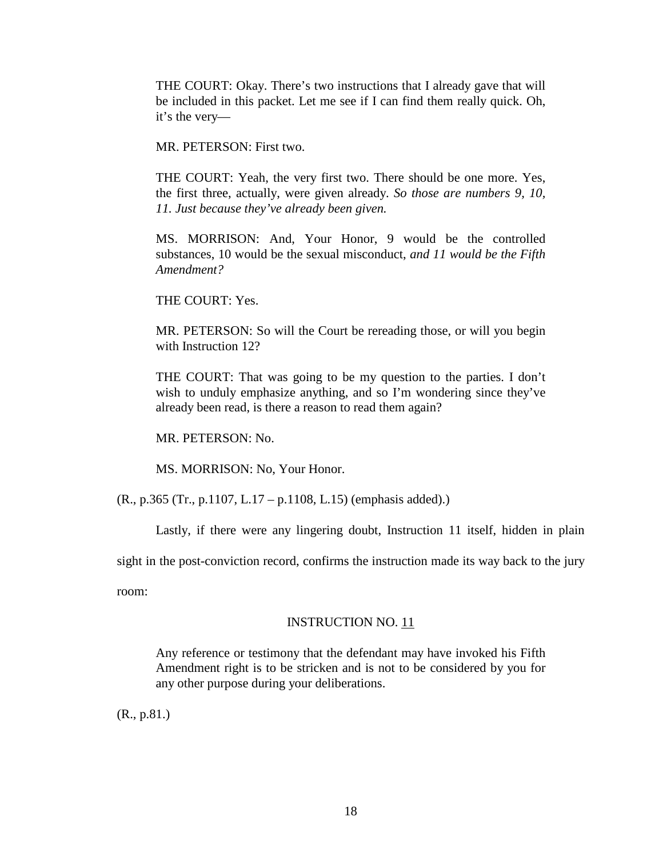THE COURT: Okay. There's two instructions that I already gave that will be included in this packet. Let me see if I can find them really quick. Oh, it's the very—

MR. PETERSON: First two.

THE COURT: Yeah, the very first two. There should be one more. Yes, the first three, actually, were given already. *So those are numbers 9, 10, 11. Just because they've already been given.*

MS. MORRISON: And, Your Honor, 9 would be the controlled substances, 10 would be the sexual misconduct, *and 11 would be the Fifth Amendment?* 

THE COURT: Yes.

MR. PETERSON: So will the Court be rereading those, or will you begin with Instruction 12?

THE COURT: That was going to be my question to the parties. I don't wish to unduly emphasize anything, and so I'm wondering since they've already been read, is there a reason to read them again?

MR. PETERSON: No.

MS. MORRISON: No, Your Honor.

(R., p.365 (Tr., p.1107, L.17 – p.1108, L.15) (emphasis added).)

Lastly, if there were any lingering doubt, Instruction 11 itself, hidden in plain

sight in the post-conviction record, confirms the instruction made its way back to the jury

room:

#### INSTRUCTION NO. 11

Any reference or testimony that the defendant may have invoked his Fifth Amendment right is to be stricken and is not to be considered by you for any other purpose during your deliberations.

(R., p.81.)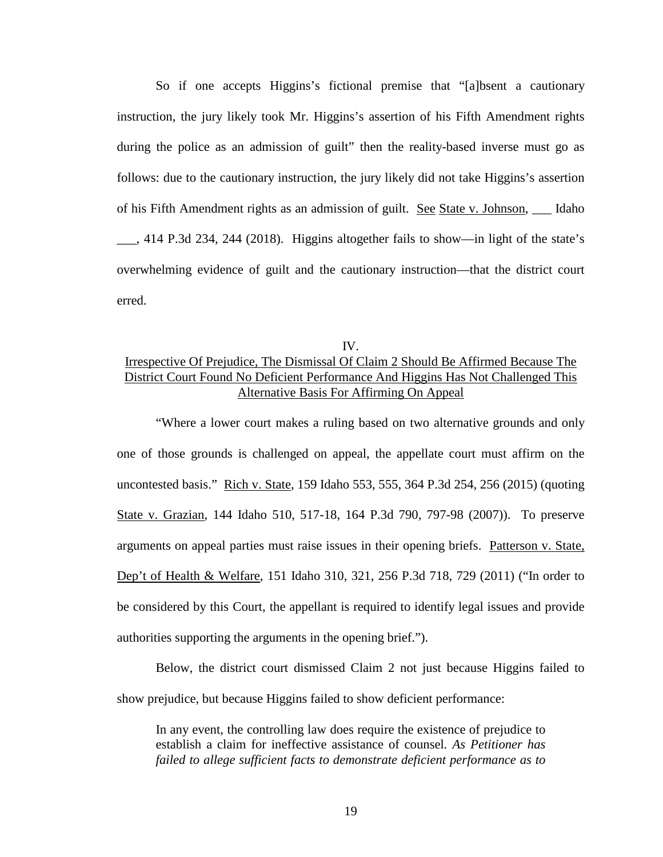So if one accepts Higgins's fictional premise that "[a]bsent a cautionary instruction, the jury likely took Mr. Higgins's assertion of his Fifth Amendment rights during the police as an admission of guilt" then the reality-based inverse must go as follows: due to the cautionary instruction, the jury likely did not take Higgins's assertion of his Fifth Amendment rights as an admission of guilt. See State v. Johnson, \_\_\_ Idaho \_\_\_, 414 P.3d 234, 244 (2018). Higgins altogether fails to show—in light of the state's overwhelming evidence of guilt and the cautionary instruction—that the district court erred.

# IV. Irrespective Of Prejudice, The Dismissal Of Claim 2 Should Be Affirmed Because The District Court Found No Deficient Performance And Higgins Has Not Challenged This Alternative Basis For Affirming On Appeal

"Where a lower court makes a ruling based on two alternative grounds and only one of those grounds is challenged on appeal, the appellate court must affirm on the uncontested basis." Rich v. State, 159 Idaho 553, 555, 364 P.3d 254, 256 (2015) (quoting State v. Grazian, 144 Idaho 510, 517-18, 164 P.3d 790, 797-98 (2007)). To preserve arguments on appeal parties must raise issues in their opening briefs. Patterson v. State, Dep't of Health & Welfare, 151 Idaho 310, 321, 256 P.3d 718, 729 (2011) ("In order to be considered by this Court, the appellant is required to identify legal issues and provide authorities supporting the arguments in the opening brief.").

Below, the district court dismissed Claim 2 not just because Higgins failed to show prejudice, but because Higgins failed to show deficient performance:

In any event, the controlling law does require the existence of prejudice to establish a claim for ineffective assistance of counsel*. As Petitioner has failed to allege sufficient facts to demonstrate deficient performance as to*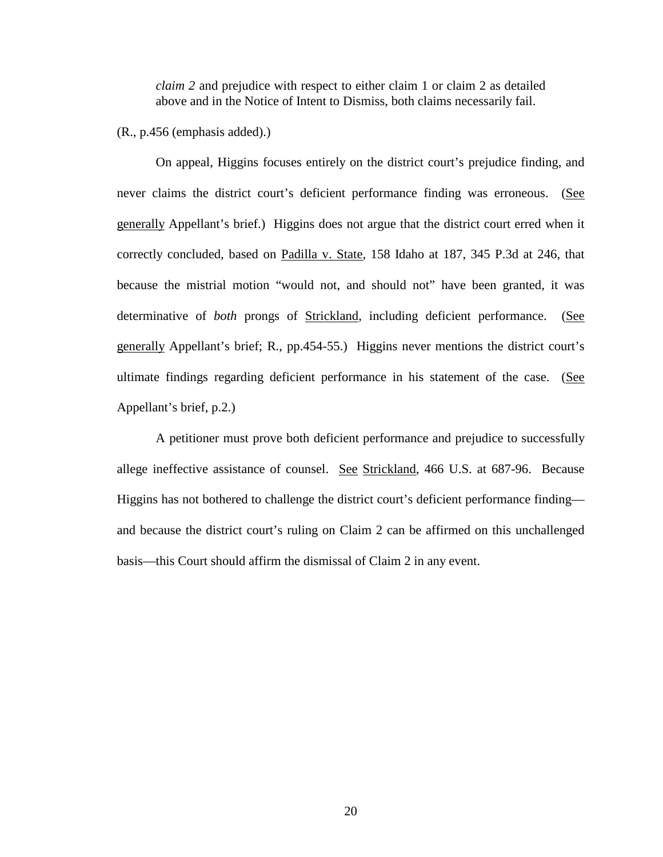*claim 2* and prejudice with respect to either claim 1 or claim 2 as detailed above and in the Notice of Intent to Dismiss, both claims necessarily fail.

(R., p.456 (emphasis added).)

On appeal, Higgins focuses entirely on the district court's prejudice finding, and never claims the district court's deficient performance finding was erroneous. (See generally Appellant's brief.) Higgins does not argue that the district court erred when it correctly concluded, based on Padilla v. State, 158 Idaho at 187, 345 P.3d at 246, that because the mistrial motion "would not, and should not" have been granted, it was determinative of *both* prongs of Strickland, including deficient performance. (See generally Appellant's brief; R., pp.454-55.) Higgins never mentions the district court's ultimate findings regarding deficient performance in his statement of the case. (See Appellant's brief, p.2.)

A petitioner must prove both deficient performance and prejudice to successfully allege ineffective assistance of counsel. See Strickland, 466 U.S. at 687-96. Because Higgins has not bothered to challenge the district court's deficient performance finding and because the district court's ruling on Claim 2 can be affirmed on this unchallenged basis—this Court should affirm the dismissal of Claim 2 in any event.